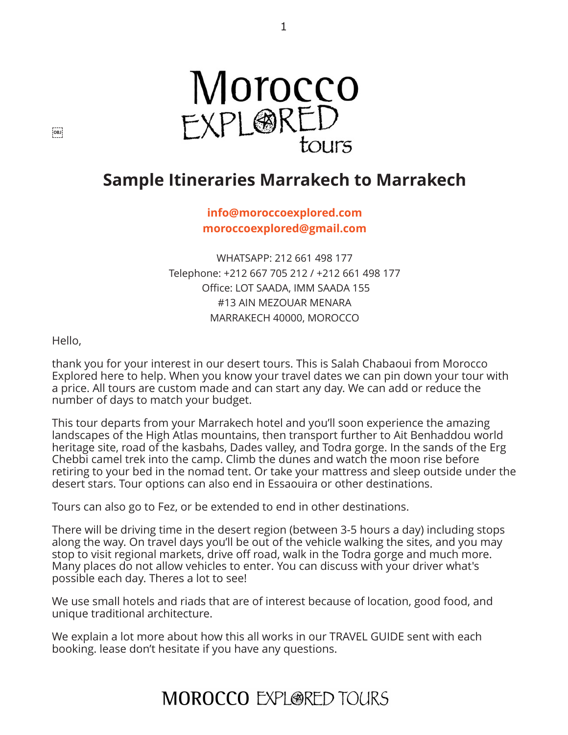

1

# **Sample Itineraries Marrakech to Marrakech**

**[info@moroccoexplored.com](mailto:info@moroccoexplored.com) [moroccoexplored@gmail.com](mailto:moroccoexplored@gmail.com)**

WHATSAPP: 212 661 498 177 Telephone: +212 667 705 212 / +212 661 498 177 Office: LOT SAADA, IMM SAADA 155 #13 AIN MEZOUAR MENARA MARRAKECH 40000, MOROCCO

Hello,

thank you for your interest in our desert tours. This is Salah Chabaoui from Morocco Explored here to help. When you know your travel dates we can pin down your tour with a price. All tours are custom made and can start any day. We can add or reduce the number of days to match your budget.

This tour departs from your Marrakech hotel and you'll soon experience the amazing landscapes of the High Atlas mountains, then transport further to Ait Benhaddou world heritage site, road of the kasbahs, Dades valley, and Todra gorge. In the sands of the Erg Chebbi camel trek into the camp. Climb the dunes and watch the moon rise before retiring to your bed in the nomad tent. Or take your mattress and sleep outside under the desert stars. Tour options can also end in Essaouira or other destinations.

Tours can also go to Fez, or be extended to end in other destinations.

There will be driving time in the desert region (between 3-5 hours a day) including stops along the way. On travel days you'll be out of the vehicle walking the sites, and you may stop to visit regional markets, drive off road, walk in the Todra gorge and much more. Many places do not allow vehicles to enter. You can discuss with your driver what's possible each day. Theres a lot to see!

We use small hotels and riads that are of interest because of location, good food, and unique traditional architecture.

We explain a lot more about how this all works in our TRAVEL GUIDE sent with each booking. lease don't hesitate if you have any questions.

# **MOROCCO EXPLORED TOURS**

 $[OB]$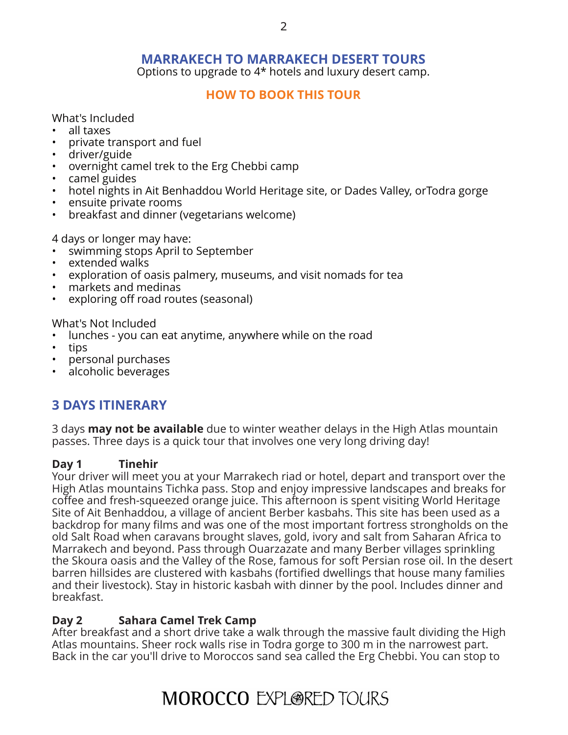## **MARRAKECH TO MARRAKECH DESERT TOURS**

Options to upgrade to 4\* hotels and luxury desert camp.

#### **[HOW TO BOOK THIS TOUR](http://www.moroccoexploredtours.com/book-online/)**

What's Included

- all taxes
- private transport and fuel
- driver/guide
- overnight camel trek to the Erg Chebbi camp
- camel guides
- hotel nights in Ait Benhaddou World Heritage site, or Dades Valley, orTodra gorge
- ensuite private rooms
- breakfast and dinner (vegetarians welcome)

4 days or longer may have:

- swimming stops April to September
- extended walks
- exploration of oasis palmery, museums, and visit nomads for tea
- markets and medinas
- exploring off road routes (seasonal)

What's Not Included

- lunches you can eat anytime, anywhere while on the road
- tips
- personal purchases
- alcoholic beverages

# **3 DAYS ITINERARY**

3 days **may not be available** due to winter weather delays in the High Atlas mountain passes. Three days is a quick tour that involves one very long driving day!

#### **Day 1 Tinehir**

Your driver will meet you at your Marrakech riad or hotel, depart and transport over the High Atlas mountains Tichka pass. Stop and enjoy impressive landscapes and breaks for coffee and fresh-squeezed orange juice. This afternoon is spent visiting World Heritage Site of Ait Benhaddou, a village of ancient Berber kasbahs. This site has been used as a backdrop for many films and was one of the most important fortress strongholds on the old Salt Road when caravans brought slaves, gold, ivory and salt from Saharan Africa to Marrakech and beyond. Pass through Ouarzazate and many Berber villages sprinkling the Skoura oasis and the Valley of the Rose, famous for soft Persian rose oil. In the desert barren hillsides are clustered with kasbahs (fortified dwellings that house many families and their livestock). Stay in historic kasbah with dinner by the pool. Includes dinner and breakfast.

#### **Day 2 Sahara Camel Trek Camp**

After breakfast and a short drive take a walk through the massive fault dividing the High Atlas mountains. Sheer rock walls rise in Todra gorge to 300 m in the narrowest part. Back in the car you'll drive to Moroccos sand sea called the Erg Chebbi. You can stop to

# **MOROCCO EXPLORED TOURS**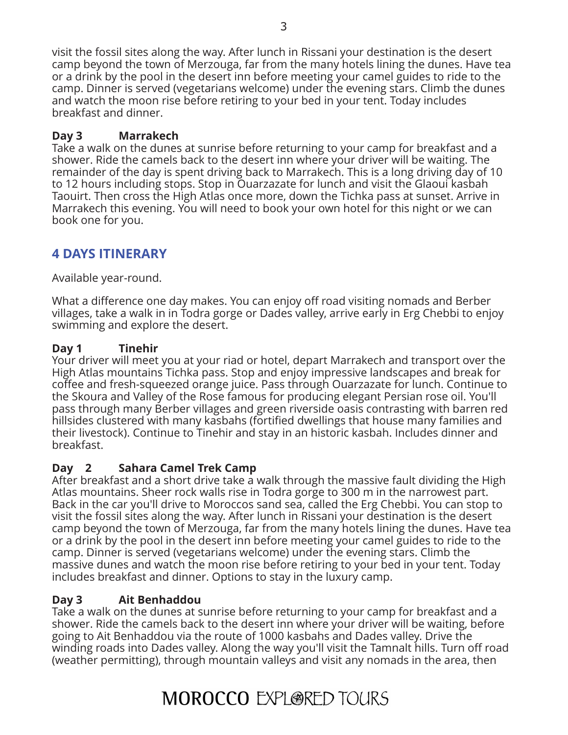visit the fossil sites along the way. After lunch in Rissani your destination is the desert camp beyond the town of Merzouga, far from the many hotels lining the dunes. Have tea or a drink by the pool in the desert inn before meeting your camel guides to ride to the camp. Dinner is served (vegetarians welcome) under the evening stars. Climb the dunes and watch the moon rise before retiring to your bed in your tent. Today includes breakfast and dinner.

## **Day 3 Marrakech**

Take a walk on the dunes at sunrise before returning to your camp for breakfast and a shower. Ride the camels back to the desert inn where your driver will be waiting. The remainder of the day is spent driving back to Marrakech. This is a long driving day of 10 to 12 hours including stops. Stop in Ouarzazate for lunch and visit the Glaoui kasbah Taouirt. Then cross the High Atlas once more, down the Tichka pass at sunset. Arrive in Marrakech this evening. You will need to book your own hotel for this night or we can book one for you.

# **4 DAYS ITINERARY**

Available year-round.

What a difference one day makes. You can enjoy off road visiting nomads and Berber villages, take a walk in in Todra gorge or Dades valley, arrive early in Erg Chebbi to enjoy swimming and explore the desert.

### **Day 1 Tinehir**

Your driver will meet you at your riad or hotel, depart Marrakech and transport over the High Atlas mountains Tichka pass. Stop and enjoy impressive landscapes and break for coffee and fresh-squeezed orange juice. Pass through Ouarzazate for lunch. Continue to the Skoura and Valley of the Rose famous for producing elegant Persian rose oil. You'll pass through many Berber villages and green riverside oasis contrasting with barren red hillsides clustered with many kasbahs (fortified dwellings that house many families and their livestock). Continue to Tinehir and stay in an historic kasbah. Includes dinner and breakfast.

#### **Day 2 Sahara Camel Trek Camp**

After breakfast and a short drive take a walk through the massive fault dividing the High Atlas mountains. Sheer rock walls rise in Todra gorge to 300 m in the narrowest part. Back in the car you'll drive to Moroccos sand sea, called the Erg Chebbi. You can stop to visit the fossil sites along the way. After lunch in Rissani your destination is the desert camp beyond the town of Merzouga, far from the many hotels lining the dunes. Have tea or a drink by the pool in the desert inn before meeting your camel guides to ride to the camp. Dinner is served (vegetarians welcome) under the evening stars. Climb the massive dunes and watch the moon rise before retiring to your bed in your tent. Today includes breakfast and dinner. Options to stay in the luxury camp.

#### **Day 3 Ait Benhaddou**

Take a walk on the dunes at sunrise before returning to your camp for breakfast and a shower. Ride the camels back to the desert inn where your driver will be waiting, before going to Ait Benhaddou via the route of 1000 kasbahs and Dades valley. Drive the winding roads into Dades valley. Along the way you'll visit the Tamnalt hills. Turn off road (weather permitting), through mountain valleys and visit any nomads in the area, then

# **MOROCCO EXPLORED TOURS**